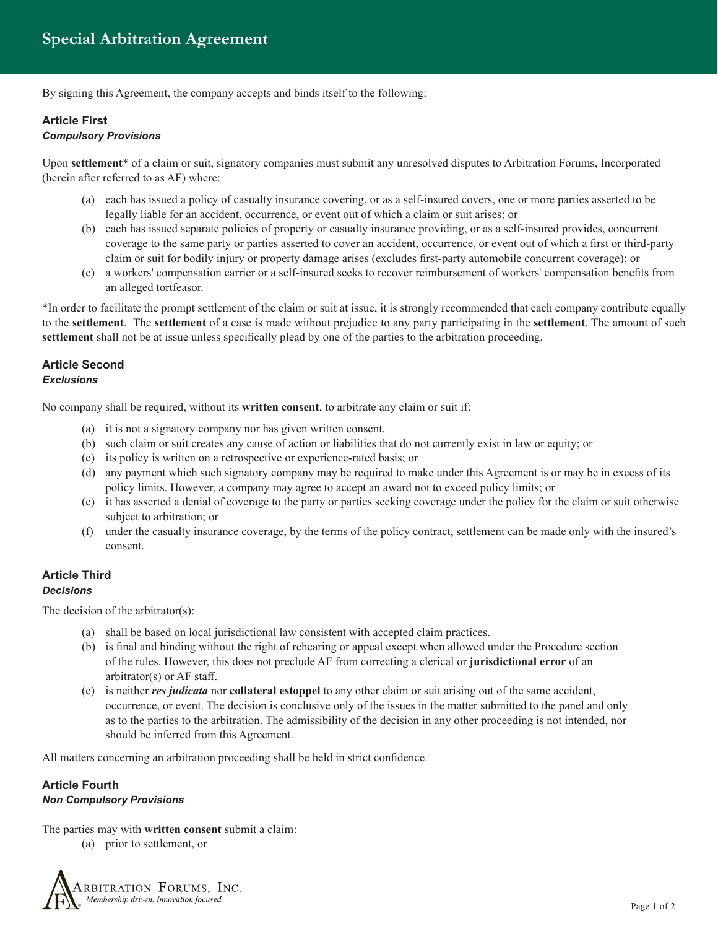By signing this Agreement, the company accepts and binds itself to the following:

# **Article First** *Compulsory Provisions*

Upon **settlement**\* of a claim or suit, signatory companies must submit any unresolved disputes to Arbitration Forums, Incorporated (herein after referred to as AF) where:

- (a) each has issued a policy of casualty insurance covering, or as a self-insured covers, one or more parties asserted to be legally liable for an accident, occurrence, or event out of which a claim or suit arises; or
- (b) each has issued separate policies of property or casualty insurance providing, or as a self-insured provides, concurrent coverage to the same party or parties asserted to cover an accident, occurrence, or event out of which a first or third-party claim or suit for bodily injury or property damage arises (excludes first-party automobile concurrent coverage); or
- (c) a workers' compensation carrier or a self-insured seeks to recover reimbursement of workers' compensation benefits from an alleged tortfeasor.

\*In order to facilitate the prompt settlement of the claim or suit at issue, it is strongly recommended that each company contribute equally to the **settlement**. The **settlement** of a case is made without prejudice to any party participating in the **settlement**. The amount of such **settlement** shall not be at issue unless specifically plead by one of the parties to the arbitration proceeding.

# **Article Second** *Exclusions*

No company shall be required, without its **written consent**, to arbitrate any claim or suit if:

- (a) it is not a signatory company nor has given written consent.
- (b) such claim or suit creates any cause of action or liabilities that do not currently exist in law or equity; or
- (c) its policy is written on a retrospective or experience-rated basis; or
- (d) any payment which such signatory company may be required to make under this Agreement is or may be in excess of its policy limits. However, a company may agree to accept an award not to exceed policy limits; or
- (e) it has asserted a denial of coverage to the party or parties seeking coverage under the policy for the claim or suit otherwise subject to arbitration; or
- (f) under the casualty insurance coverage, by the terms of the policy contract, settlement can be made only with the insured's consent.

## **Article Third** *Decisions*

The decision of the arbitrator(s):

- (a) shall be based on local jurisdictional law consistent with accepted claim practices.
- (b) is final and binding without the right of rehearing or appeal except when allowed under the Procedure section of the rules. However, this does not preclude AF from correcting a clerical or **jurisdictional error** of an arbitrator(s) or AF staff.
- (c) is neither *res judicata* nor **collateral estoppel** to any other claim or suit arising out of the same accident, occurrence, or event. The decision is conclusive only of the issues in the matter submitted to the panel and only as to the parties to the arbitration. The admissibility of the decision in any other proceeding is not intended, nor should be inferred from this Agreement.

All matters concerning an arbitration proceeding shall be held in strict confidence.

# **Article Fourth**

#### *Non Compulsory Provisions*

The parties may with **written consent** submit a claim:

(a) prior to settlement, or